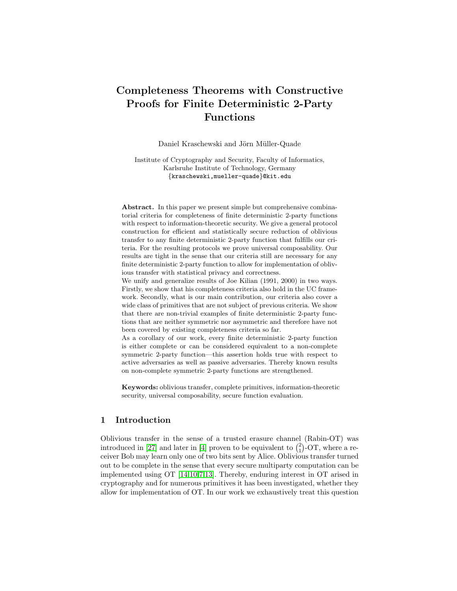# Completeness Theorems with Constructive Proofs for Finite Deterministic 2-Party Functions

Daniel Kraschewski and Jörn Müller-Quade

Institute of Cryptography and Security, Faculty of Informatics, Karlsruhe Institute of Technology, Germany {kraschewski,mueller-quade}@kit.edu

Abstract. In this paper we present simple but comprehensive combinatorial criteria for completeness of finite deterministic 2-party functions with respect to information-theoretic security. We give a general protocol construction for efficient and statistically secure reduction of oblivious transfer to any finite deterministic 2-party function that fulfills our criteria. For the resulting protocols we prove universal composability. Our results are tight in the sense that our criteria still are necessary for any finite deterministic 2-party function to allow for implementation of oblivious transfer with statistical privacy and correctness.

We unify and generalize results of Joe Kilian (1991, 2000) in two ways. Firstly, we show that his completeness criteria also hold in the UC framework. Secondly, what is our main contribution, our criteria also cover a wide class of primitives that are not subject of previous criteria. We show that there are non-trivial examples of finite deterministic 2-party functions that are neither symmetric nor asymmetric and therefore have not been covered by existing completeness criteria so far.

As a corollary of our work, every finite deterministic 2-party function is either complete or can be considered equivalent to a non-complete symmetric 2-party function—this assertion holds true with respect to active adversaries as well as passive adversaries. Thereby known results on non-complete symmetric 2-party functions are strengthened.

Keywords: oblivious transfer, complete primitives, information-theoretic security, universal composability, secure function evaluation.

## 1 Introduction

Oblivious transfer in the sense of a trusted erasure channel (Rabin-OT) was introduced in [\[27\]](#page-17-0) and later in [\[4\]](#page-16-0) proven to be equivalent to  $\binom{2}{1}$ -OT, where a receiver Bob may learn only one of two bits sent by Alice. Oblivious transfer turned out to be complete in the sense that every secure multiparty computation can be implemented using OT [\[14](#page-16-1)[,10,](#page-16-2)[7,](#page-16-3)[13\]](#page-16-4). Thereby, enduring interest in OT arised in cryptography and for numerous primitives it has been investigated, whether they allow for implementation of OT. In our work we exhaustively treat this question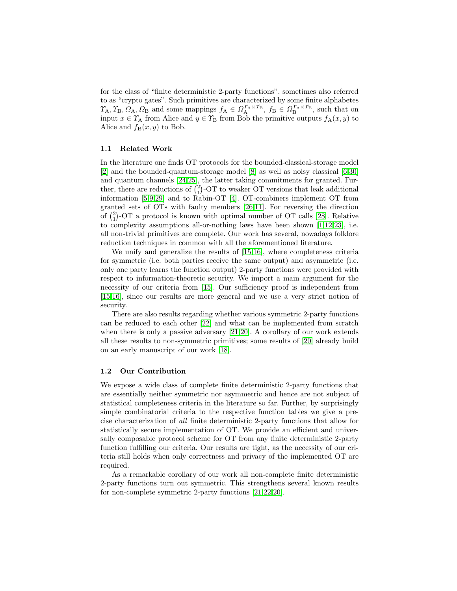for the class of "finite deterministic 2-party functions", sometimes also referred to as "crypto gates". Such primitives are characterized by some finite alphabetes  $\gamma_A, \gamma_B, \Omega_A, \Omega_B$  and some mappings  $f_A \in \Omega_A^{\gamma_A \times \gamma_B}, f_B \in \Omega_B^{\gamma_A \times \gamma_B}$ , such that on input  $x \in \Upsilon_A$  from Alice and  $y \in \Upsilon_B$  from Bob the primitive outputs  $f_A(x, y)$  to Alice and  $f_B(x, y)$  to Bob.

## 1.1 Related Work

In the literature one finds OT protocols for the bounded-classical-storage model [\[2\]](#page-16-5) and the bounded-quantum-storage model [\[8\]](#page-16-6) as well as noisy classical [\[6,](#page-16-7)[30\]](#page-17-1) and quantum channels [\[24](#page-17-2)[,25\]](#page-17-3), the latter taking commitments for granted. Further, there are reductions of  $\binom{2}{1}$ -OT to weaker OT versions that leak additional information [\[5,](#page-16-8)[9](#page-16-9)[,29\]](#page-17-4) and to Rabin-OT [\[4\]](#page-16-0). OT-combiners implement OT from granted sets of OTs with faulty members [\[26,](#page-17-5)[11\]](#page-16-10). For reversing the direction of  $\binom{2}{1}$ -OT a protocol is known with optimal number of OT calls [\[28\]](#page-17-6). Relative to complexity assumptions all-or-nothing laws have been shown [\[1](#page-16-11)[,12,](#page-16-12)[23\]](#page-17-7), i.e. all non-trivial primitives are complete. Our work has several, nowadays folklore reduction techniques in common with all the aforementioned literature.

We unify and generalize the results of [\[15,](#page-17-8)[16\]](#page-17-9), where completeness criteria for symmetric (i.e. both parties receive the same output) and asymmetric (i.e. only one party learns the function output) 2-party functions were provided with respect to information-theoretic security. We import a main argument for the necessity of our criteria from [\[15\]](#page-17-8). Our sufficiency proof is independent from [\[15](#page-17-8)[,16\]](#page-17-9), since our results are more general and we use a very strict notion of security.

There are also results regarding whether various symmetric 2-party functions can be reduced to each other [\[22\]](#page-17-10) and what can be implemented from scratch when there is only a passive adversary [\[21](#page-17-11)[,20\]](#page-17-12). A corollary of our work extends all these results to non-symmetric primitives; some results of [\[20\]](#page-17-12) already build on an early manuscript of our work [\[18\]](#page-17-13).

#### 1.2 Our Contribution

We expose a wide class of complete finite deterministic 2-party functions that are essentially neither symmetric nor asymmetric and hence are not subject of statistical completeness criteria in the literature so far. Further, by surprisingly simple combinatorial criteria to the respective function tables we give a precise characterization of all finite deterministic 2-party functions that allow for statistically secure implementation of OT. We provide an efficient and universally composable protocol scheme for OT from any finite deterministic 2-party function fulfilling our criteria. Our results are tight, as the necessity of our criteria still holds when only correctness and privacy of the implemented OT are required.

As a remarkable corollary of our work all non-complete finite deterministic 2-party functions turn out symmetric. This strengthens several known results for non-complete symmetric 2-party functions [\[21,](#page-17-11)[22,](#page-17-10)[20\]](#page-17-12).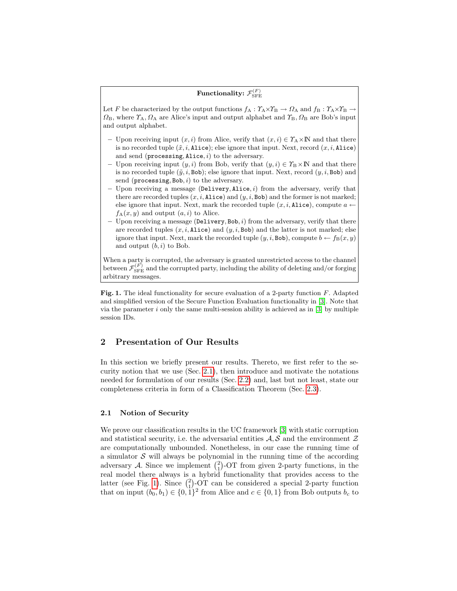## Functionality:  $\mathcal{F}_{\rm SFE}^{(F)}$

<span id="page-2-1"></span>Let F be characterized by the output functions  $f_A: \Upsilon_A \times \Upsilon_B \to \Omega_A$  and  $f_B: \Upsilon_A \times \Upsilon_B$  $\Omega_{\rm B}$ , where  $\Upsilon_{\rm A}$ ,  $\Omega_{\rm A}$  are Alice's input and output alphabet and  $\Upsilon_{\rm B}$ ,  $\Omega_{\rm B}$  are Bob's input and output alphabet.

- Upon receiving input  $(x, i)$  from Alice, verify that  $(x, i) \in \Upsilon_A \times \mathbb{N}$  and that there is no recorded tuple  $(\tilde{x}, i, \texttt{Alice})$ ; else ignore that input. Next, record  $(x, i, \texttt{Alice})$ and send ( $\mathbf{processing}, \mathbf{Alice}, i)$  to the adversary.
- Upon receiving input  $(y, i)$  from Bob, verify that  $(y, i) \in \Upsilon_B \times \mathbb{N}$  and that there is no recorded tuple  $(\tilde{y}, i, \text{Bob})$ ; else ignore that input. Next, record  $(y, i, \text{Bob})$  and send ( $\mathsf{processing}, \mathsf{Bob}, i)$  to the adversary.
- Upon receiving a message (Delivery, Alice,  $i$ ) from the adversary, verify that there are recorded tuples  $(x, i, \text{Alice})$  and  $(y, i, \text{Bob})$  and the former is not marked; else ignore that input. Next, mark the recorded tuple  $(x, i, \text{Alice})$ , compute  $a \leftarrow$  $f_A(x, y)$  and output  $(a, i)$  to Alice.
- Upon receiving a message (Delivery, Bob,  $i$ ) from the adversary, verify that there are recorded tuples  $(x, i, \text{Alice})$  and  $(y, i, \text{Bob})$  and the latter is not marked; else ignore that input. Next, mark the recorded tuple  $(y, i, \text{Bob})$ , compute  $b \leftarrow f_B(x, y)$ and output  $(b, i)$  to Bob.

When a party is corrupted, the adversary is granted unrestricted access to the channel between  $\mathcal{F}_{\rm SFE}^{(F)}$  and the corrupted party, including the ability of deleting and/or forging arbitrary messages.

Fig. 1. The ideal functionality for secure evaluation of a 2-party function F. Adapted and simplified version of the Secure Function Evaluation functionality in [\[3\]](#page-16-13). Note that via the parameter  $i$  only the same multi-session ability is achieved as in [\[3\]](#page-16-13) by multiple session IDs.

## 2 Presentation of Our Results

In this section we briefly present our results. Thereto, we first refer to the security notion that we use (Sec. [2.1\)](#page-2-0), then introduce and motivate the notations needed for formulation of our results (Sec. [2.2\)](#page-3-0) and, last but not least, state our completeness criteria in form of a Classification Theorem (Sec. [2.3\)](#page-4-0).

#### <span id="page-2-0"></span>2.1 Notion of Security

We prove our classification results in the UC framework [\[3\]](#page-16-13) with static corruption and statistical security, i.e. the adversarial entities  $A, S$  and the environment  $\mathcal Z$ are computationally unbounded. Nonetheless, in our case the running time of a simulator  $\mathcal S$  will always be polynomial in the running time of the according adversary A. Since we implement  $\binom{2}{1}$ -OT from given 2-party functions, in the real model there always is a hybrid functionality that provides access to the latter (see Fig. [1\)](#page-2-1). Since  $\binom{2}{1}$ -OT can be considered a special 2-party function that on input  $(b_0, b_1) \in \{0, 1\}^2$  from Alice and  $c \in \{0, 1\}$  from Bob outputs  $b_c$  to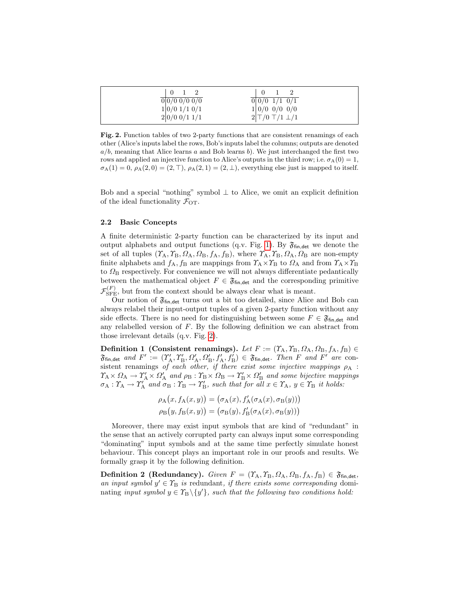<span id="page-3-1"></span>

| 1 2                 | $\perp$                                                 |
|---------------------|---------------------------------------------------------|
| 0 0/00/00/0         | $\frac{1}{0}$ $\frac{0}{0}$ $\frac{1}{1}$ $\frac{0}{1}$ |
| 1 0/01/10/1         | 1 0/0 0/0 0/0                                           |
| $2 0/0 \t0/1 \t1/1$ | $2\vert T/0 \vert T/1 \vert \perp/1$                    |

Fig. 2. Function tables of two 2-party functions that are consistent renamings of each other (Alice's inputs label the rows, Bob's inputs label the columns; outputs are denoted  $a/b$ , meaning that Alice learns a and Bob learns b). We just interchanged the first two rows and applied an injective function to Alice's outputs in the third row; i.e.  $\sigma_A(0) = 1$ ,  $\sigma_A(1) = 0$ ,  $\rho_A(2,0) = (2, \top)$ ,  $\rho_A(2,1) = (2, \bot)$ , everything else just is mapped to itself.

Bob and a special "nothing" symbol  $\perp$  to Alice, we omit an explicit definition of the ideal functionality  $\mathcal{F}_{\text{OT}}$ .

#### <span id="page-3-0"></span>2.2 Basic Concepts

A finite deterministic 2-party function can be characterized by its input and output alphabets and output functions (q.v. Fig. [1\)](#page-2-1). By  $\mathfrak{F}_{fin, det}$  we denote the set of all tuples  $(\Upsilon_A, \Upsilon_B, \Omega_A, \Omega_B, f_A, f_B)$ , where  $\Upsilon_A, \Upsilon_B, \Omega_A, \Omega_B$  are non-empty finite alphabets and  $f_A$ ,  $f_B$  are mappings from  $\gamma_A \times \gamma_B$  to  $\Omega_A$  and from  $\gamma_A \times \gamma_B$ to  $\Omega_{\rm B}$  respectively. For convenience we will not always differentiate pedantically between the mathematical object  $F \in \mathfrak{F}_{fin, det}$  and the corresponding primitive  $\mathcal{F}_{\rm SFE}^{(F)}$ , but from the context should be always clear what is meant.

Our notion of  $\mathfrak{F}_{fin, det}$  turns out a bit too detailed, since Alice and Bob can always relabel their input-output tuples of a given 2-party function without any side effects. There is no need for distinguishing between some  $F \in \mathfrak{F}_{\text{fin.det}}$  and any relabelled version of  $F$ . By the following definition we can abstract from those irrelevant details (q.v. Fig. [2\)](#page-3-1).

Definition 1 (Consistent renamings). Let  $F := (T_A, T_B, \Omega_A, \Omega_B, f_A, f_B) \in$  $\mathfrak{F}_{\text{fin},\text{det}}$  and  $F' := (T'_{A}, T'_{B}, \Omega'_{A}, \Omega'_{B}, f'_{A}, f'_{B}) \in \mathfrak{F}_{\text{fin},\text{det}}$ . Then F and F' are consistent renamings of each other, if there exist some injective mappings  $\rho_A$ :  $\gamma_A \times \Omega_A \to \gamma_A' \times \Omega_A'$  and  $\rho_B : \gamma_B \times \Omega_B \to \gamma_B' \times \Omega_B'$  and some bijective mappings  $\sigma_A : \Upsilon_A \to \Upsilon_A'$  and  $\sigma_B : \Upsilon_B \to \Upsilon_B'$ , such that for all  $x \in \Upsilon_A$ ,  $y \in \Upsilon_B$  it holds:

$$
\rho_{A}(x, f_{A}(x, y)) = (\sigma_{A}(x), f'_{A}(\sigma_{A}(x), \sigma_{B}(y)))
$$

$$
\rho_{B}(y, f_{B}(x, y)) = (\sigma_{B}(y), f'_{B}(\sigma_{A}(x), \sigma_{B}(y)))
$$

Moreover, there may exist input symbols that are kind of "redundant" in the sense that an actively corrupted party can always input some corresponding "dominating" input symbols and at the same time perfectly simulate honest behaviour. This concept plays an important role in our proofs and results. We formally grasp it by the following definition.

**Definition 2 (Redundancy).** Given  $F = (T_A, T_B, \Omega_A, \Omega_B, f_A, f_B) \in \mathfrak{F}_{fin, det}$ , an input symbol  $y' \in \mathcal{T}_{\mathcal{B}}$  is redundant, if there exists some corresponding dominating input symbol  $y \in T_B \setminus \{y'\}$ , such that the following two conditions hold: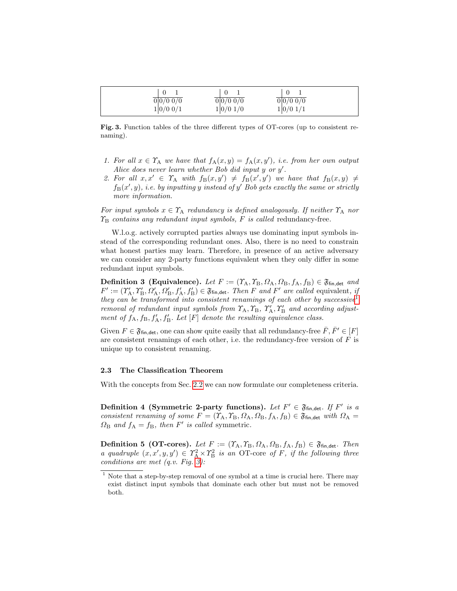<span id="page-4-2"></span>

| 0 0/0 0/0 | 0 0/00/0 | 0 0/00/0 |  |
|-----------|----------|----------|--|
| 1 0/00/1  | 1 0/01/0 | 1 0/01/1 |  |

Fig. 3. Function tables of the three different types of OT-cores (up to consistent renaming).

- 1. For all  $x \in \Upsilon_A$  we have that  $f_A(x,y) = f_A(x,y')$ , i.e. from her own output Alice does never learn whether Bob did input  $y$  or  $y'$ .
- 2. For all  $x, x' \in \Upsilon_A$  with  $f_B(x, y') \neq f_B(x', y')$  we have that  $f_B(x, y) \neq$  $f_B(x', y)$ , i.e. by inputting y instead of y' Bob gets exactly the same or strictly more information.

For input symbols  $x \in \Upsilon_A$  redundancy is defined analogously. If neither  $\Upsilon_A$  nor  $\Upsilon_{\rm B}$  contains any redundant input symbols, F is called redundancy-free.

W.l.o.g. actively corrupted parties always use dominating input symbols instead of the corresponding redundant ones. Also, there is no need to constrain what honest parties may learn. Therefore, in presence of an active adversary we can consider any 2-party functions equivalent when they only differ in some redundant input symbols.

Definition 3 (Equivalence). Let  $F := (Y_A, Y_B, \Omega_A, \Omega_B, f_A, f_B) \in \mathfrak{F}_{fin, det}$  and  $F' := (\Upsilon'_{\mathcal{A}}, \Upsilon'_{\mathcal{B}}, \Omega'_{\mathcal{A}}, \Omega'_{\mathcal{B}}, f'_{\mathcal{A}}, f'_{\mathcal{B}}) \in \mathfrak{F}_{\text{fin}, \text{det}}$ . Then F and F' are called equivalent, if they can be transformed into consistent renamings of each other by successive<sup>[1](#page-4-1)</sup> removal of redundant input symbols from  $\Upsilon_A$ ,  $\Upsilon_B$ ,  $\Upsilon'_A$ ,  $\Upsilon'_B$  and according adjustment of  $f_A$ ,  $f_B$ ,  $f'_A$ ,  $f'_B$ . Let  $[F]$  denote the resulting equivalence class.

Given  $F \in \mathfrak{F}_{fin, det}$ , one can show quite easily that all redundancy-free  $\overline{F}, \overline{F'} \in [F]$ are consistent renamings of each other, i.e. the redundancy-free version of  $F$  is unique up to consistent renaming.

#### <span id="page-4-0"></span>2.3 The Classification Theorem

<span id="page-4-3"></span>With the concepts from Sec. [2.2](#page-3-0) we can now formulate our completeness criteria.

Definition 4 (Symmetric 2-party functions). Let  $F' \in \mathfrak{F}_{fin, det}$ . If  $F'$  is a consistent renaming of some  $F = (T_A, T_B, \Omega_A, \Omega_B, f_A, f_B) \in \mathfrak{F}_{fin, det}$  with  $\Omega_A =$  $\Omega_{\rm B}$  and  $f_{\rm A} = f_{\rm B}$ , then F' is called symmetric.

**Definition 5 (OT-cores).** Let  $F := (T_A, T_B, \Omega_A, \Omega_B, f_A, f_B) \in \mathfrak{F}_{fin, det}$ . Then a quadruple  $(x, x', y, y') \in T_A^2 \times T_B^2$  is an OT-core of F, if the following three conditions are met  $(q.v. Fig. 3)$  $(q.v. Fig. 3)$ :

<span id="page-4-1"></span> $^{\rm 1}$  Note that a step-by-step removal of one symbol at a time is crucial here. There may exist distinct input symbols that dominate each other but must not be removed both.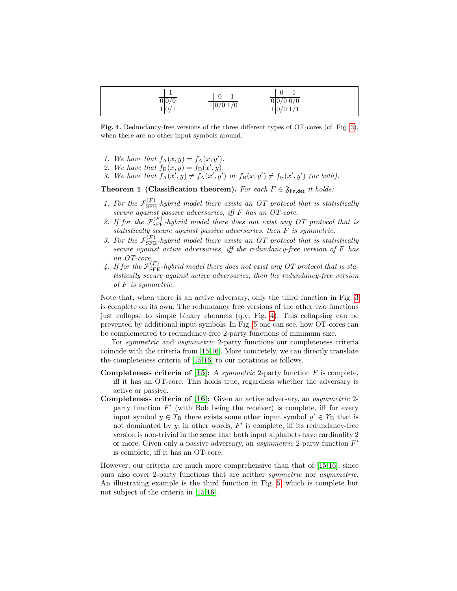<span id="page-5-0"></span>

| $\overline{0 0/0}$ | 1 0/01/0 | <b>.</b><br>0 0/00/0 |
|--------------------|----------|----------------------|
| 1 0/1              |          | 1 0/01/1             |

Fig. 4. Redundancy-free versions of the three different types of OT-cores (cf. Fig. [3\)](#page-4-2), when there are no other input symbols around.

- 1. We have that  $f_{A}(x, y) = f_{A}(x, y')$ .
- 2. We have that  $f_{\text{B}}(x, y) = f_{\text{B}}(x', y)$ .
- 3. We have that  $f_A(x', y) \neq f_A(x', y')$  or  $f_B(x, y') \neq f_B(x', y')$  (or both).

Theorem 1 (Classification theorem). For each  $F \in \mathfrak{F}_{fin, det}$  it holds:

- <span id="page-5-1"></span>1. For the  $\mathcal{F}_{\rm SFE}^{(F)}$ -hybrid model there exists an OT protocol that is statistically secure against passive adversaries, iff F has an OT-core.
- <span id="page-5-2"></span>2. If for the  $\mathcal{F}_{\rm SFE}^{(F)}$ -hybrid model there does not exist any OT protocol that is statistically secure against passive adversaries, then F is symmetric.
- <span id="page-5-4"></span>3. For the  $\mathcal{F}_{\rm SFE}^{(F)}$ -hybrid model there exists an OT protocol that is statistically secure against active adversaries, iff the redundancy-free version of F has an OT-core.
- <span id="page-5-3"></span>4. If for the  $\mathcal{F}_{\rm SFE}^{(F)}$ -hybrid model there does not exist any OT protocol that is statistically secure against active adversaries, then the redundancy-free version of F is symmetric.

Note that, when there is an active adversary, only the third function in Fig. [3](#page-4-2) is complete on its own. The redundancy free versions of the other two functions just collapse to simple binary channels (q.v. Fig. [4\)](#page-5-0). This collapsing can be prevented by additional input symbols. In Fig. [5](#page-6-0) one can see, how OT-cores can be complemented to redundancy-free 2-party functions of minimum size.

For symmetric and asymmetric 2-party functions our completeness criteria coincide with the criteria from [\[15](#page-17-8)[,16\]](#page-17-9). More concretely, we can directly translate the completeness criteria of [\[15,](#page-17-8)[16\]](#page-17-9) to our notations as follows.

- **Completeness criteria of [\[15\]](#page-17-8):** A symmetric 2-party function  $F$  is complete, iff it has an OT-core. This holds true, regardless whether the adversary is active or passive.
- Completeness criteria of [\[16\]](#page-17-9): Given an active adversary, an asymmetric 2 party function  $F'$  (with Bob being the receiver) is complete, iff for every input symbol  $y \in \Upsilon_{\text{B}}$  there exists some other input symbol  $y' \in \Upsilon_{\text{B}}$  that is not dominated by  $y$ ; in other words,  $F'$  is complete, iff its redundancy-free version is non-trivial in the sense that both input alphabets have cardinality 2 or more. Given only a passive adversary, an *asymmetric* 2-party function  $F'$ is complete, iff it has an OT-core.

However, our criteria are much more comprehensive than that of [\[15](#page-17-8)[,16\]](#page-17-9), since ours also cover 2-party functions that are neither symmetric nor asymmetric. An illustrating example is the third function in Fig. [5,](#page-6-0) which is complete but not subject of the criteria in [\[15](#page-17-8)[,16\]](#page-17-9).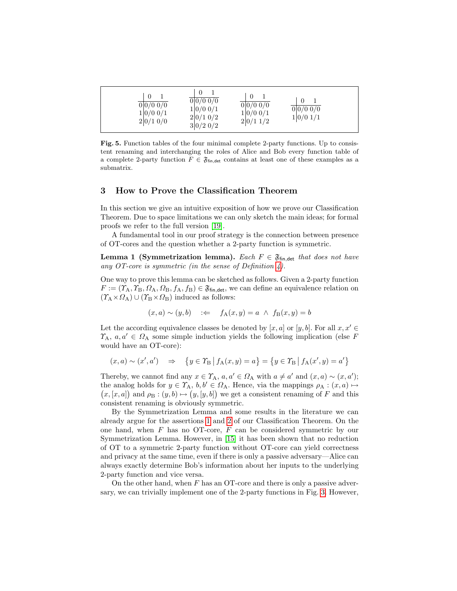<span id="page-6-0"></span>

| $\frac{1}{0}$ 0/0 0/0<br>1 0/00/1<br>2 0/10/0 | 0 0/00/0<br>1 0/00/1<br>2 0/10/2<br>$3 0/2\;0/2$ | 0 0/00/0<br>1 0/00/1<br>2 0/11/2 | 0 0/00/0<br>1 0/01/1 |
|-----------------------------------------------|--------------------------------------------------|----------------------------------|----------------------|
|-----------------------------------------------|--------------------------------------------------|----------------------------------|----------------------|

Fig. 5. Function tables of the four minimal complete 2-party functions. Up to consistent renaming and interchanging the roles of Alice and Bob every function table of a complete 2-party function  $F \in \mathfrak{F}_{\mathsf{fin},\mathsf{det}}$  contains at least one of these examples as a submatrix.

## 3 How to Prove the Classification Theorem

In this section we give an intuitive exposition of how we prove our Classification Theorem. Due to space limitations we can only sketch the main ideas; for formal proofs we refer to the full version [\[19\]](#page-17-14).

A fundamental tool in our proof strategy is the connection between presence of OT-cores and the question whether a 2-party function is symmetric.

**Lemma 1 (Symmetrization lemma).** Each  $F \in \mathfrak{F}_{fin, det}$  that does not have any OT-core is symmetric (in the sense of Definition  $\downarrow$ ).

One way to prove this lemma can be sketched as follows. Given a 2-party function  $F := (\Upsilon_A, \Upsilon_B, \Omega_A, \Omega_B, f_A, f_B) \in \mathfrak{F}_{fin, det}$ , we can define an equivalence relation on  $(\Upsilon_A \times \Omega_A) \cup (\Upsilon_B \times \Omega_B)$  induced as follows:

$$
(x, a) \sim (y, b)
$$
 :=  $f_A(x, y) = a \land f_B(x, y) = b$ 

Let the according equivalence classes be denoted by  $[x, a]$  or  $[y, b]$ . For all  $x, x' \in$  $\Upsilon_A, a, a' \in \Omega_A$  some simple induction yields the following implication (else F would have an OT-core):

$$
(x, a) \sim (x', a') \Rightarrow \{y \in \Upsilon_B | f_A(x, y) = a\} = \{y \in \Upsilon_B | f_A(x', y) = a'\}
$$

Thereby, we cannot find any  $x \in \Upsilon_A$ ,  $a, a' \in \Omega_A$  with  $a \neq a'$  and  $(x, a) \sim (x, a')$ ; the analog holds for  $y \in \Upsilon_A$ ,  $b, b' \in \Omega_A$ . Hence, via the mappings  $\rho_A : (x, a) \mapsto$  $(x,[x,a])$  and  $\rho_B:(y,b)\mapsto (y,[y,b])$  we get a consistent renaming of F and this consistent renaming is obviously symmetric.

By the Symmetrization Lemma and some results in the literature we can already argue for the assertions [1](#page-5-1) and [2](#page-5-2) of our Classification Theorem. On the one hand, when  $F$  has no OT-core,  $F$  can be considered symmetric by our Symmetrization Lemma. However, in [\[15\]](#page-17-8) it has been shown that no reduction of OT to a symmetric 2-party function without OT-core can yield correctness and privacy at the same time, even if there is only a passive adversary—Alice can always exactly determine Bob's information about her inputs to the underlying 2-party function and vice versa.

On the other hand, when  $F$  has an OT-core and there is only a passive adversary, we can trivially implement one of the 2-party functions in Fig. [3.](#page-4-2) However,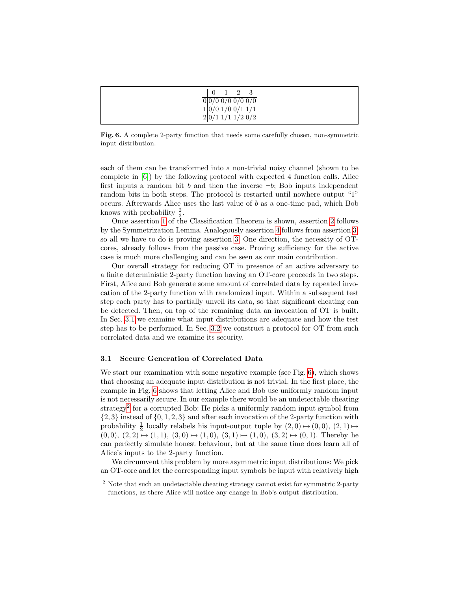<span id="page-7-1"></span>

| $\overline{0}$<br>1 2 3                                                                               |  |
|-------------------------------------------------------------------------------------------------------|--|
| $\frac{1}{0}\frac{1}{0}\frac{1}{0}\frac{1}{0}\frac{1}{0}\frac{1}{0}\frac{1}{0}\frac{1}{0}\frac{1}{0}$ |  |
| 1 0/0 1/0 0/1 1/1                                                                                     |  |
| $2 0/1\ 1/1\ 1/2\ 0/2$                                                                                |  |

Fig. 6. A complete 2-party function that needs some carefully chosen, non-symmetric input distribution.

each of them can be transformed into a non-trivial noisy channel (shown to be complete in [\[6\]](#page-16-7)) by the following protocol with expected 4 function calls. Alice first inputs a random bit b and then the inverse  $\neg b$ ; Bob inputs independent random bits in both steps. The protocol is restarted until nowhere output "1" occurs. Afterwards Alice uses the last value of  $b$  as a one-time pad, which Bob knows with probability  $\frac{2}{3}$ .

Once assertion [1](#page-5-1) of the Classification Theorem is shown, assertion [2](#page-5-2) follows by the Symmetrization Lemma. Analogously assertion [4](#page-5-3) follows from assertion [3,](#page-5-4) so all we have to do is proving assertion [3.](#page-5-4) One direction, the necessity of OTcores, already follows from the passive case. Proving sufficiency for the active case is much more challenging and can be seen as our main contribution.

Our overall strategy for reducing OT in presence of an active adversary to a finite deterministic 2-party function having an OT-core proceeds in two steps. First, Alice and Bob generate some amount of correlated data by repeated invocation of the 2-party function with randomized input. Within a subsequent test step each party has to partially unveil its data, so that significant cheating can be detected. Then, on top of the remaining data an invocation of OT is built. In Sec. [3.1](#page-7-0) we examine what input distributions are adequate and how the test step has to be performed. In Sec. [3.2](#page-13-0) we construct a protocol for OT from such correlated data and we examine its security.

#### <span id="page-7-0"></span>3.1 Secure Generation of Correlated Data

We start our examination with some negative example (see Fig. [6\)](#page-7-1), which shows that choosing an adequate input distribution is not trivial. In the first place, the example in Fig. [6](#page-7-1) shows that letting Alice and Bob use uniformly random input is not necessarily secure. In our example there would be an undetectable cheating strategy<sup>[2](#page-7-2)</sup> for a corrupted Bob: He picks a uniformly random input symbol from  $\{2,3\}$  instead of  $\{0,1,2,3\}$  and after each invocation of the 2-party function with probability  $\frac{1}{2}$  locally relabels his input-output tuple by  $(2,0) \mapsto (0,0)$ ,  $(2,1) \mapsto$  $(0,0), (2,2) \mapsto (1,1), (3,0) \mapsto (1,0), (3,1) \mapsto (1,0), (3,2) \mapsto (0,1)$ . Thereby he can perfectly simulate honest behaviour, but at the same time does learn all of Alice's inputs to the 2-party function.

We circumvent this problem by more asymmetric input distributions: We pick an OT-core and let the corresponding input symbols be input with relatively high

<span id="page-7-2"></span><sup>&</sup>lt;sup>2</sup> Note that such an undetectable cheating strategy cannot exist for symmetric 2-party functions, as there Alice will notice any change in Bob's output distribution.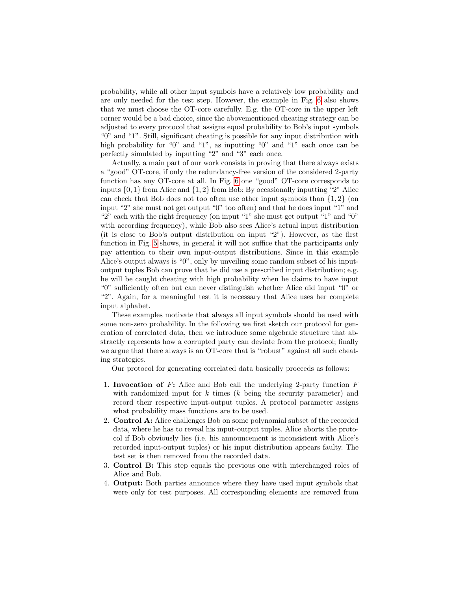probability, while all other input symbols have a relatively low probability and are only needed for the test step. However, the example in Fig. [6](#page-7-1) also shows that we must choose the OT-core carefully. E.g. the OT-core in the upper left corner would be a bad choice, since the abovementioned cheating strategy can be adjusted to every protocol that assigns equal probability to Bob's input symbols "0" and "1". Still, significant cheating is possible for any input distribution with high probability for "0" and "1", as inputting "0" and "1" each once can be perfectly simulated by inputting "2" and "3" each once.

Actually, a main part of our work consists in proving that there always exists a "good" OT-core, if only the redundancy-free version of the considered 2-party function has any OT-core at all. In Fig. [6](#page-7-1) one "good" OT-core corresponds to inputs  $\{0, 1\}$  from Alice and  $\{1, 2\}$  from Bob: By occasionally inputting "2" Alice can check that Bob does not too often use other input symbols than  $\{1, 2\}$  (on input "2" she must not get output "0" too often) and that he does input "1" and "2" each with the right frequency (on input "1" she must get output "1" and "0" with according frequency), while Bob also sees Alice's actual input distribution (it is close to Bob's output distribution on input "2"). However, as the first function in Fig. [5](#page-6-0) shows, in general it will not suffice that the participants only pay attention to their own input-output distributions. Since in this example Alice's output always is "0", only by unveiling some random subset of his inputoutput tuples Bob can prove that he did use a prescribed input distribution; e.g. he will be caught cheating with high probability when he claims to have input "0" sufficiently often but can never distinguish whether Alice did input "0" or "2". Again, for a meaningful test it is necessary that Alice uses her complete input alphabet.

These examples motivate that always all input symbols should be used with some non-zero probability. In the following we first sketch our protocol for generation of correlated data, then we introduce some algebraic structure that abstractly represents how a corrupted party can deviate from the protocol; finally we argue that there always is an OT-core that is "robust" against all such cheating strategies.

Our protocol for generating correlated data basically proceeds as follows:

- 1. Invocation of  $F$ : Alice and Bob call the underlying 2-party function  $F$ with randomized input for  $k$  times  $(k$  being the security parameter) and record their respective input-output tuples. A protocol parameter assigns what probability mass functions are to be used.
- 2. Control A: Alice challenges Bob on some polynomial subset of the recorded data, where he has to reveal his input-output tuples. Alice aborts the protocol if Bob obviously lies (i.e. his announcement is inconsistent with Alice's recorded input-output tuples) or his input distribution appears faulty. The test set is then removed from the recorded data.
- 3. Control B: This step equals the previous one with interchanged roles of Alice and Bob.
- 4. Output: Both parties announce where they have used input symbols that were only for test purposes. All corresponding elements are removed from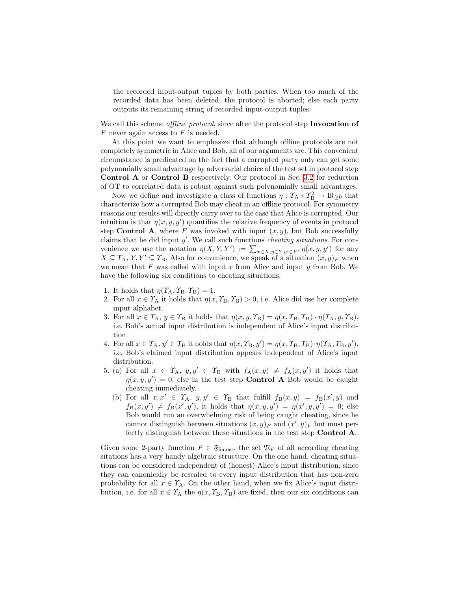the recorded input-output tuples by both parties. When too much of the recorded data has been deleted, the protocol is aborted; else each party outputs its remaining string of recorded input-output tuples.

We call this scheme *offline protocol*, since after the protocol step **Invocation of**  $F$  never again access to  $F$  is needed.

At this point we want to emphasize that although offline protocols are not completely symmetric in Alice and Bob, all of our arguments are. This convenient circumstance is predicated on the fact that a corrupted party only can get some polynomially small advantage by adversarial choice of the test set in protocol step Control A or Control B respectively. Our protocol in Sec. [3.2](#page-13-0) for reduction of OT to correlated data is robust against such polynomially small advantages.

Now we define and investigate a class of functions  $\eta: \Upsilon_A \times \Upsilon_B^2 \to \mathbb{R}_{\geq 0}$  that characterize how a corrupted Bob may cheat in an offline protocol. For symmetry reasons our results will directly carry over to the case that Alice is corrupted. Our intuition is that  $\eta(x, y, y')$  quantifies the relative frequency of events in protocol step Control A, where F was invoked with input  $(x, y)$ , but Bob successfully claims that he did input  $y'$ . We call such functions *cheating situations*. For convenience we use the notation  $\eta(X, Y, Y') := \sum_{x \in X, y \in Y, y' \in Y'} \eta(x, y, y')$  for any  $X \subseteq \Upsilon_A, Y, Y' \subseteq \Upsilon_B$ . Also for convenience, we speak of a situation  $(x, y)_F$  when we mean that  $F$  was called with input  $x$  from Alice and input  $y$  from Bob. We have the following six conditions to cheating situations:

- 1. It holds that  $\eta(\Upsilon_{\rm A}, \Upsilon_{\rm B}, \Upsilon_{\rm B}) = 1$ .
- 2. For all  $x \in \Upsilon_A$  it holds that  $\eta(x, \Upsilon_B, \Upsilon_B) > 0$ , i.e. Alice did use her complete input alphabet.
- <span id="page-9-2"></span>3. For all  $x \in \Upsilon_A$ ,  $y \in \Upsilon_B$  it holds that  $\eta(x, y, \Upsilon_B) = \eta(x, \Upsilon_B, \Upsilon_B) \cdot \eta(\Upsilon_A, y, \Upsilon_B)$ , i.e. Bob's actual input distribution is independent of Alice's input distribution.
- <span id="page-9-3"></span>4. For all  $x \in \Upsilon_A$ ,  $y' \in \Upsilon_B$  it holds that  $\eta(x, \Upsilon_B, y') = \eta(x, \Upsilon_B, \Upsilon_B) \cdot \eta(\Upsilon_A, \Upsilon_B, y')$ , i.e. Bob's claimed input distribution appears independent of Alice's input distribution.
- <span id="page-9-1"></span><span id="page-9-0"></span>5. (a) For all  $x \in \Upsilon_A$ ,  $y, y' \in \Upsilon_B$  with  $f_A(x, y) \neq f_A(x, y')$  it holds that  $\eta(x, y, y') = 0$ ; else in the test step **Control A** Bob would be caught cheating immediately.
	- (b) For all  $x, x' \in \Upsilon_A$ ,  $y, y' \in \Upsilon_B$  that fulfill  $f_B(x, y) = f_B(x', y)$  and  $f_B(x, y') \neq f_B(x', y')$ , it holds that  $\eta(x, y, y') = \eta(x', y, y') = 0$ ; else Bob would run an overwhelming risk of being caught cheating, since he cannot distinguish between situations  $(x, y)_F$  and  $(x', y)_F$  but must perfectly distinguish between these situations in the test step Control A.

Given some 2-party function  $F \in \mathfrak{F}_{fin, det}$ , the set  $\mathfrak{N}_F$  of all according cheating sitations has a very handy algebraic structure. On the one hand, cheating situations can be considered independent of (honest) Alice's input distribution, since they can canonically be rescaled to every input distribution that has non-zero probability for all  $x \in \Upsilon_A$ . On the other hand, when we fix Alice's input distribution, i.e. for all  $x \in \Upsilon_A$  the  $\eta(x, \Upsilon_B, \Upsilon_B)$  are fixed, then our six conditions can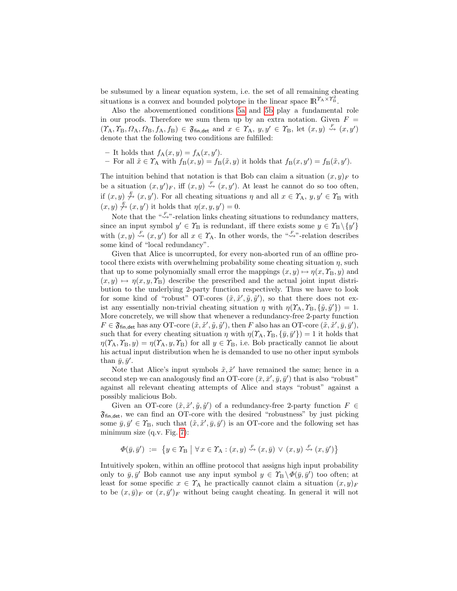be subsumed by a linear equation system, i.e. the set of all remaining cheating situations is a convex and bounded polytope in the linear space  $\mathbb{R}^{\Upsilon_A \times \Upsilon_B^2}$ .

Also the abovementioned conditions [5a](#page-9-0) and [5b](#page-9-1) play a fundamental role in our proofs. Therefore we sum them up by an extra notation. Given  $F =$  $(\Upsilon_A, \Upsilon_B, \Omega_A, \Omega_B, f_A, f_B) \in \mathfrak{F}_{fin, det}$  and  $x \in \Upsilon_A$ ,  $y, y' \in \Upsilon_B$ , let  $(x, y) \stackrel{F}{\rightsquigarrow} (x, y')$ denote that the following two conditions are fulfilled:

- It holds that  $f_A(x, y) = f_A(x, y')$ .
- For all  $\tilde{x} \in \Upsilon_A$  with  $f_B(x, y) = f_B(\tilde{x}, y)$  it holds that  $f_B(x, y') = f_B(\tilde{x}, y')$ .

The intuition behind that notation is that Bob can claim a situation  $(x, y)_F$  to be a situation  $(x, y')_F$ , iff  $(x, y) \stackrel{F}{\rightsquigarrow} (x, y')$ . At least he cannot do so too often, if  $(x, y) \stackrel{\mathcal{F}}{\rightarrow} (x, y')$ . For all cheating situations  $\eta$  and all  $x \in \Upsilon_A$ ,  $y, y' \in \Upsilon_B$  with  $(x, y) \overset{\mathcal{F}}{\nrightarrow} (x, y')$  it holds that  $\eta(x, y, y') = 0$ .

Note that the  $\sqrt[a]{\rightarrow}$  -relation links cheating situations to redundancy matters, since an input symbol  $y' \in \mathcal{T}_{\text{B}}$  is redundant, iff there exists some  $y \in \mathcal{T}_{\text{B}} \setminus \{y'\}$ with  $(x, y) \stackrel{F}{\rightsquigarrow} (x, y')$  for all  $x \in \Upsilon_A$ . In other words, the " $\stackrel{F}{\rightsquigarrow}$ "-relation describes some kind of "local redundancy".

Given that Alice is uncorrupted, for every non-aborted run of an offline protocol there exists with overwhelming probability some cheating situation  $\eta$ , such that up to some polynomially small error the mappings  $(x, y) \mapsto \eta(x, \Upsilon_B, y)$  and  $(x, y) \mapsto \eta(x, y, \Upsilon_B)$  describe the prescribed and the actual joint input distribution to the underlying 2-party function respectively. Thus we have to look for some kind of "robust" OT-cores  $(\tilde{x}, \tilde{x}', \tilde{y}, \tilde{y}')$ , so that there does not exist any essentially non-trivial cheating situation  $\eta$  with  $\eta(Y_A, Y_B, \{\tilde{y}, \tilde{y}'\}) = 1$ . More concretely, we will show that whenever a redundancy-free 2-party function  $F \in \mathfrak{F}_{\text{fin},\text{det}}$  has any OT-core  $(\tilde{x}, \tilde{x}', \tilde{y}, \tilde{y}')$ , then F also has an OT-core  $(\tilde{x}, \tilde{x}', \tilde{y}, \tilde{y}')$ , such that for every cheating situation  $\eta$  with  $\eta(\Upsilon_{\mathbf{A}}, \Upsilon_{\mathbf{B}}, \{\bar{y}, \bar{y}'\}) = 1$  it holds that  $\eta(\Upsilon_{\rm A}, \Upsilon_{\rm B}, y) = \eta(\Upsilon_{\rm A}, y, \Upsilon_{\rm B})$  for all  $y \in \Upsilon_{\rm B}$ , i.e. Bob practically cannot lie about his actual input distribution when he is demanded to use no other input symbols than  $\bar{y}, \bar{y}'$ .

Note that Alice's input symbols  $\tilde{x}, \tilde{x}'$  have remained the same; hence in a second step we can analogously find an OT-core  $(\bar{x}, \bar{x}', \bar{y}, \bar{y}')$  that is also "robust" against all relevant cheating attempts of Alice and stays "robust" against a possibly malicious Bob.

Given an OT-core  $(\tilde{x}, \tilde{x}', \tilde{y}, \tilde{y}')$  of a redundancy-free 2-party function  $F \in$  $\mathfrak{F}_{fin,det}$ , we can find an OT-core with the desired "robustness" by just picking some  $\bar{y}, \bar{y}' \in \mathcal{T}_{\mathcal{B}}$ , such that  $(\tilde{x}, \tilde{x}', \bar{y}, \bar{y}')$  is an OT-core and the following set has minimum size (q.v. Fig. [7\)](#page-11-0):

$$
\Phi(\bar{y}, \bar{y}') := \{ y \in \Upsilon_B \mid \forall x \in \Upsilon_A : (x, y) \stackrel{F}{\leadsto} (x, \bar{y}) \lor (x, y) \stackrel{F}{\leadsto} (x, \bar{y}') \}
$$

Intuitively spoken, within an offline protocol that assigns high input probability only to  $\bar{y}, \bar{y}'$  Bob cannot use any input symbol  $y \in \gamma_B \setminus \Phi(\bar{y}, \bar{y}')$  too often; at least for some specific  $x \in \Upsilon_A$  he practically cannot claim a situation  $(x, y)_F$ to be  $(x,\bar{y})_F$  or  $(x,\bar{y}')_F$  without being caught cheating. In general it will not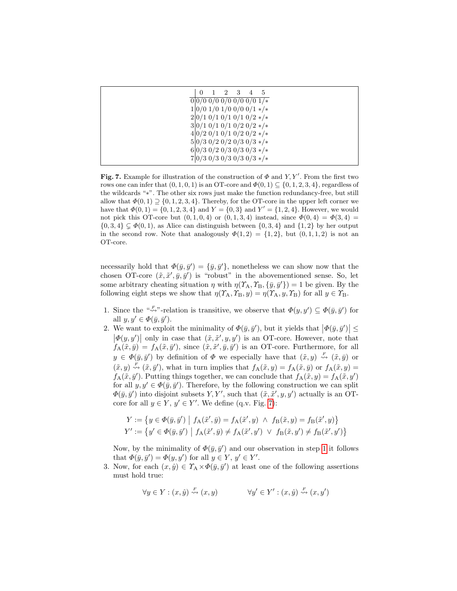<span id="page-11-0"></span>

| $\Omega$                                                   | $\overline{2}$ | $\overline{\mathbf{3}}$ | 5 |
|------------------------------------------------------------|----------------|-------------------------|---|
| $0 0/00/00/00/00/01/*$                                     |                |                         |   |
| $1 0/0 1/0 1/0 0/0 0/1$ */*                                |                |                         |   |
| $2 0/1 \t0/1 \t0/1 \t0/1 \t0/2 \t*/*$                      |                |                         |   |
| $3 0/1 \t0/1 \t0/1 \t0/2 \t0/2 \t*/*$                      |                |                         |   |
| $4 0/2 \frac{0}{1 \frac{0}{12 \frac{0}{2 \frac{k}{k}}}$    |                |                         |   |
| $5 0/3 \frac{0}{2} \frac{0}{2 \frac{0}{3 \frac{0}{3 + x}}$ |                |                         |   |
| $6 0/3\;0/2\;0/3\;0/3\;0/3\;*/*$                           |                |                         |   |
| $7 0/3\;0/3\;0/3\;0/3\;0/3\;*/*$                           |                |                         |   |

Fig. 7. Example for illustration of the construction of  $\Phi$  and Y, Y'. From the first two rows one can infer that  $(0, 1, 0, 1)$  is an OT-core and  $\Phi(0, 1) \subseteq \{0, 1, 2, 3, 4\}$ , regardless of the wildcards "∗". The other six rows just make the function redundancy-free, but still allow that  $\Phi(0,1) \supseteq \{0,1,2,3,4\}$ . Thereby, for the OT-core in the upper left corner we have that  $\Phi(0,1) = \{0, 1, 2, 3, 4\}$  and  $Y = \{0, 3\}$  and  $Y' = \{1, 2, 4\}$ . However, we would not pick this OT-core but  $(0, 1, 0, 4)$  or  $(0, 1, 3, 4)$  instead, since  $\Phi(0, 4) = \Phi(3, 4)$  ${0, 3, 4} \subsetneq \Phi(0, 1)$ , as Alice can distinguish between  ${0, 3, 4}$  and  ${1, 2}$  by her output in the second row. Note that analogously  $\Phi(1,2) = \{1,2\}$ , but  $(0,1,1,2)$  is not an OT-core.

necessarily hold that  $\Phi(\bar{y}, \bar{y}') = {\bar{y}, \bar{y}'},$  nonetheless we can show now that the chosen OT-core  $(\tilde{x}, \tilde{x}', \bar{y}, \bar{y}')$  is "robust" in the abovementioned sense. So, let some arbitrary cheating situation  $\eta$  with  $\eta(\Upsilon_A, \Upsilon_B, \{\bar{y}, \bar{y}'\}) = 1$  be given. By the following eight steps we show that  $\eta(\Upsilon_A, \Upsilon_B, y) = \eta(\Upsilon_A, y, \Upsilon_B)$  for all  $y \in \Upsilon_B$ .

- <span id="page-11-1"></span>1. Since the " $\leadsto$ "-relation is transitive, we observe that  $\Phi(y, y') \subseteq \Phi(\bar{y}, \bar{y}')$  for all  $y, y' \in \Phi(\bar{y}, \bar{y}').$
- <span id="page-11-2"></span>2. We want to exploit the minimality of  $\Phi(\bar{y}, \bar{y}')$ , but it yields that  $|\Phi(\bar{y}, \bar{y}')| \le$  $\left|\phi(y, y')\right|$  only in case that  $(\tilde{x}, \tilde{x}', y, y')$  is an OT-core. However, note that  $f_{\mathbf{A}}(\tilde{x},\bar{y}) = f_{\mathbf{A}}(\tilde{x},\bar{y}'),$  since  $(\tilde{x},\tilde{x}',\bar{y},\bar{y}')$  is an OT-core. Furthermore, for all  $y \in \Phi(\bar{y}, \bar{y}')$  by definition of  $\Phi$  we especially have that  $(\tilde{x}, y) \stackrel{F}{\rightsquigarrow} (\tilde{x}, \bar{y})$  or  $(\tilde{x}, y) \stackrel{F}{\rightsquigarrow} (\tilde{x}, \bar{y}')$ , what in turn implies that  $f_A(\tilde{x}, y) = f_A(\tilde{x}, \bar{y})$  or  $f_A(\tilde{x}, y) =$  $f_{\mathbf{A}}(\tilde{x}, \bar{y}')$ . Putting things together, we can conclude that  $f_{\mathbf{A}}(\tilde{x}, y) = f_{\mathbf{A}}(\tilde{x}, y')$ for all  $y, y' \in \Phi(\bar{y}, \bar{y}')$ . Therefore, by the following construction we can split  $\Phi(\bar{y}, \bar{y}')$  into disjoint subsets Y, Y', such that  $(\tilde{x}, \tilde{x}', y, y')$  actually is an OTcore for all  $y \in Y$ ,  $y' \in Y'$ . We define (q.v. Fig. [7\)](#page-11-0):

$$
Y := \{ y \in \Phi(\bar{y}, \bar{y}') \mid f_A(\tilde{x}', \bar{y}) = f_A(\tilde{x}', y) \land f_B(\tilde{x}, y) = f_B(\tilde{x}', y) \}
$$
  

$$
Y' := \{ y' \in \Phi(\bar{y}, \bar{y}') \mid f_A(\tilde{x}', \bar{y}) \neq f_A(\tilde{x}', y') \lor f_B(\tilde{x}, y') \neq f_B(\tilde{x}', y') \}
$$

Now, by the minimality of  $\Phi(\bar{y}, \bar{y}')$  and our observation in step [1](#page-11-1) it follows that  $\Phi(\bar{y}, \bar{y}') = \Phi(y, y')$  for all  $y \in Y$ ,  $y' \in Y'$ .

<span id="page-11-3"></span>3. Now, for each  $(x, \hat{y}) \in \Upsilon_A \times \Phi(\bar{y}, \bar{y}')$  at least one of the following assertions must hold true:

$$
\forall y \in Y : (x, \hat{y}) \stackrel{F}{\rightsquigarrow} (x, y) \qquad \forall y' \in Y' : (x, \hat{y}) \stackrel{F}{\rightsquigarrow} (x, y')
$$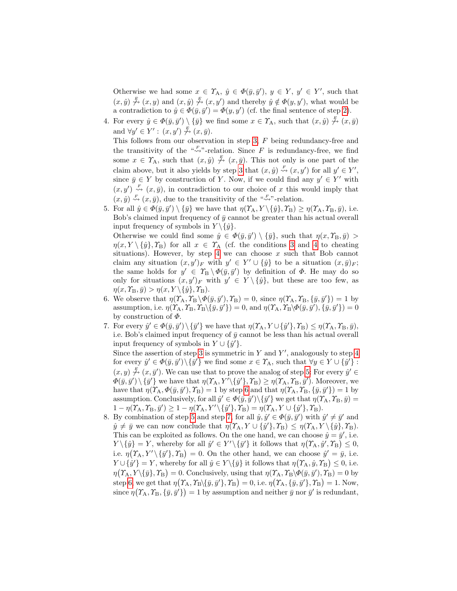Otherwise we had some  $x \in \Upsilon_A$ ,  $\hat{y} \in \Phi(\bar{y}, \bar{y}')$ ,  $y \in Y$ ,  $y' \in Y'$ , such that  $(x, \hat{y}) \stackrel{F}{\n\rightarrow} (x, y)$  and  $(x, \hat{y}) \stackrel{F}{\n\rightarrow} (x, y')$  and thereby  $\hat{y} \notin \Phi(y, y')$ , what would be a contradiction to  $\hat{y} \in \Phi(\bar{y}, \bar{y}') = \Phi(y, y')$  (cf. the final sentence of step [2\)](#page-11-2).

- <span id="page-12-0"></span>4. For every  $\hat{y} \in \Phi(\bar{y}, \bar{y}') \setminus {\{\bar{y}\}}$  we find some  $x \in \Upsilon_A$ , such that  $(x, \hat{y}) \stackrel{F}{\rightsquigarrow} (x, \bar{y})$ and  $\forall y' \in Y' : (x, y') \nrightarrow{\mathcal{F}} (x, \bar{y}).$ This follows from our observation in step [3,](#page-11-3) F being redundancy-free and the transitivity of the " $\overset{F}{\leadsto}$ "-relation. Since F is redundancy-free, we find some  $x \in \Upsilon_A$ , such that  $(x, \hat{y}) \stackrel{\bar{x}}{\leftrightarrow} (x, \bar{y})$ . This not only is one part of the claim above, but it also yields by step [3](#page-11-3) that  $(x, \hat{y}) \stackrel{F}{\rightsquigarrow} (x, y')$  for all  $y' \in Y'$ , since  $\bar{y} \in Y$  by construction of Y. Now, if we could find any  $y' \in Y'$  with  $(x, y') \stackrel{F}{\rightsquigarrow} (x, \bar{y})$ , in contradiction to our choice of x this would imply that  $(x, \hat{y}) \stackrel{F}{\rightsquigarrow} (x, \bar{y})$ , due to the transitivity of the " $\stackrel{F}{\rightsquigarrow}$ "-relation.
- <span id="page-12-1"></span>5. For all  $\hat{y} \in \Phi(\bar{y}, \bar{y}') \setminus {\{\bar{y}\}}$  we have that  $\eta(\Upsilon_A, Y \setminus {\{\hat{y}\}}, \Upsilon_B) \geq \eta(\Upsilon_A, \Upsilon_B, \bar{y}),$  i.e. Bob's claimed input frequency of  $\bar{y}$  cannot be greater than his actual overall input frequency of symbols in  $Y \setminus \{\hat{y}\}.$

Otherwise we could find some  $\hat{y} \in \Phi(\bar{y}, \bar{y}') \setminus {\bar{y}}$ , such that  $\eta(x, \Upsilon_B, \bar{y}) >$  $\eta(x, Y \setminus \{\hat{y}\}, \Upsilon_B)$  for all  $x \in \Upsilon_A$  (cf. the conditions [3](#page-9-2) and [4](#page-9-3) to cheating situations). However, by step [4](#page-12-0) we can choose  $x$  such that Bob cannot claim any situation  $(x, y')_F$  with  $y' \in Y' \cup \{\hat{y}\}\$ to be a situation  $(x, \bar{y})_F$ ; the same holds for  $y' \in \Upsilon_B \setminus \Phi(\bar{y}, \bar{y}')$  by definition of  $\Phi$ . He may do so only for situations  $(x, y')_F$  with  $y' \in Y \setminus {\hat{y}}$ , but these are too few, as  $\eta(x, \Upsilon_{\text{B}}, \bar{y}) > \eta(x, Y \setminus {\{\hat{y}\}, \Upsilon_{\text{B}}}).$ 

- <span id="page-12-2"></span>6. We observe that  $\eta(\Upsilon_A, \Upsilon_B \backslash \Phi(\bar{y}, \bar{y}'), \Upsilon_B) = 0$ , since  $\eta(\Upsilon_A, \Upsilon_B, {\bar{y}, \bar{y}'}) = 1$  by assumption, i.e.  $\eta(\Upsilon_A, \Upsilon_B, \Upsilon_B \setminus {\overline{\{y, y'\}}}) = 0$ , and  $\eta(\Upsilon_A, \Upsilon_B \setminus {\overline{\{y, y'\}}}) = \overline{0}$ by construction of Φ.
- <span id="page-12-3"></span>7. For every  $\hat{y}' \in \Phi(\bar{y}, \bar{y}') \setminus {\{\bar{y}'\}}$  we have that  $\eta(\Upsilon_A, Y \cup {\{\hat{y}'\}}, \Upsilon_B) \leq \eta(\Upsilon_A, \Upsilon_B, \bar{y}),$ i.e. Bob's claimed input frequency of  $\bar{y}$  cannot be less than his actual overall input frequency of symbols in  $Y \cup \{\hat{y}'\}.$ Since the assertion of step [3](#page-11-3) is symmetric in  $Y$  and  $Y'$ , analogously to step [4](#page-12-0) for every  $\hat{y}' \in \Phi(\bar{y}, \bar{y}') \setminus {\{\bar{y}'\}}$  we find some  $x \in \Upsilon_A$ , such that  $\forall y \in Y \cup {\{\hat{y}'\}}$ :  $(x, y) \stackrel{F}{\n\rightarrow} (x, \bar{y}')$ . We can use that to prove the analog of step [5:](#page-12-1) For every  $\hat{y}' \in$  $\Phi(\bar{y}, \bar{y}') \setminus {\{\bar{y}'\}}$  we have that  $\eta(\Upsilon_A, Y' \setminus {\{\hat{y}'\}}, \Upsilon_B) \geq \eta(\Upsilon_A, \Upsilon_B, \bar{y}')$ . Moreover, we have that  $\eta(\Upsilon_A, \Phi(\bar{y}, \bar{y}'), \Upsilon_B) = 1$  by step [6](#page-12-2) and that  $\eta(\Upsilon_A, \Upsilon_B, \{\bar{y}, \bar{y}'\}) = 1$  by assumption. Conclusively, for all  $\hat{y}' \in \Phi(\bar{y}, \bar{y}') \setminus {\{\bar{y}'\}}$  we get that  $\eta(\Upsilon_A, \Upsilon_B, \bar{y}) =$  $1 - \eta(\Upsilon_A, \Upsilon_B, \bar{y}') \geq 1 - \eta(\Upsilon_A, Y' \setminus {\{\hat{y}'\}}, \Upsilon_B) = \eta(\Upsilon_A, Y \cup {\{\hat{y}'\}}, \Upsilon_B).$
- 8. By combination of step [5](#page-12-1) and step [7,](#page-12-3) for all  $\hat{y}, \hat{y}' \in \Phi(\bar{y}, \bar{y}')$  with  $\hat{y}' \neq \bar{y}'$  and  $\hat{y} \neq \bar{y}$  we can now conclude that  $\eta(\Upsilon_A, Y \cup {\hat{y'}, \Upsilon_B}) \leq \eta(\Upsilon_A, Y \setminus {\hat{y}, \Upsilon_B}).$ This can be exploited as follows. On the one hand, we can choose  $\hat{y} = \bar{y}'$ , i.e.  $Y \setminus {\hat{y}} = Y$ , whereby for all  $\hat{y}' \in Y' \setminus {\{\overline{y}'\}}$  it follows that  $\eta(T_A, \hat{y}', T_B) \leq 0$ , i.e.  $\eta(\Upsilon_{\mathbf{A}}, Y' \setminus {\{\bar{y}'\}}, \Upsilon_{\mathbf{B}}) = 0$ . On the other hand, we can choose  $\hat{y}' = \bar{y}$ , i.e.  $Y \cup {\hat{y}}' = Y$ , whereby for all  $\hat{y} \in Y \setminus {\{\overline{y}\}}$  it follows that  $\eta(T_A, \hat{y}, T_B) \leq 0$ , i.e.  $\eta(T_A, Y \setminus {\bar{y}}, T_B) = 0$ . Conclusively, using that  $\eta(T_A, T_B \setminus \Phi(\bar{y}, \bar{y}'), T_B) = 0$  by step [6,](#page-12-2) we get that  $\eta(T_A, T_B \setminus {\{\overline{y}, \overline{y}'\}}, T_B) = 0$ , i.e.  $\eta(T_A, {\{\overline{y}, \overline{y}'\}}, T_B) = 1$ . Now, since  $\eta(\Upsilon_{\text{A}}, \Upsilon_{\text{B}}, \{\bar{y}, \bar{y}'\}) = 1$  by assumption and neither  $\bar{y}$  nor  $\bar{y}'$  is redundant,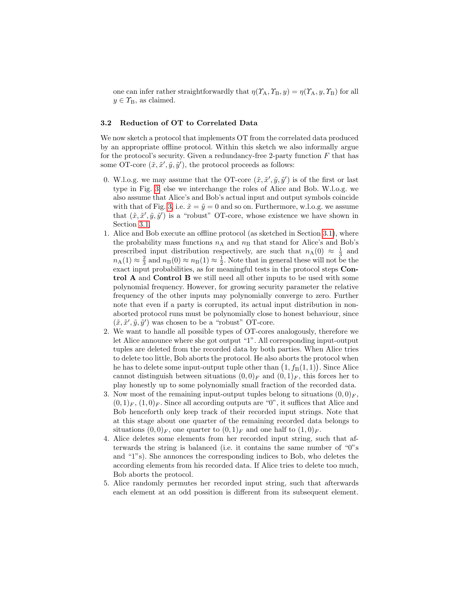one can infer rather straightforwardly that  $\eta(\Upsilon_A, \Upsilon_B, y) = \eta(\Upsilon_A, y, \Upsilon_B)$  for all  $y \in T_{\text{B}}$ , as claimed.

## <span id="page-13-0"></span>3.2 Reduction of OT to Correlated Data

We now sketch a protocol that implements OT from the correlated data produced by an appropriate offline protocol. Within this sketch we also informally argue for the protocol's security. Given a redundancy-free 2-party function  $F$  that has some OT-core  $(\tilde{x}, \tilde{x}', \tilde{y}, \tilde{y}')$ , the protocol proceeds as follows:

- 0. W.l.o.g. we may assume that the OT-core  $(\tilde{x}, \tilde{x}', \tilde{y}, \tilde{y}')$  is of the first or last type in Fig. [3;](#page-4-2) else we interchange the roles of Alice and Bob. W.l.o.g. we also assume that Alice's and Bob's actual input and output symbols coincide with that of Fig. [3,](#page-4-2) i.e.  $\tilde{x} = \tilde{y} = 0$  and so on. Furthermore, w.l.o.g. we assume that  $(\tilde{x}, \tilde{x}', \tilde{y}, \tilde{y}')$  is a "robust" OT-core, whose existence we have shown in Section [3.1.](#page-7-0)
- 1. Alice and Bob execute an offline protocol (as sketched in Section [3.1\)](#page-7-0), where the probability mass functions  $n_A$  and  $n_B$  that stand for Alice's and Bob's prescribed input distribution respectively, are such that  $n_A(0) \approx \frac{1}{3}$  and  $n_{\rm A}(1) \approx \frac{2}{3}$  and  $n_{\rm B}(0) \approx n_{\rm B}(1) \approx \frac{1}{2}$ . Note that in general these will not be the exact input probabilities, as for meaningful tests in the protocol steps Control A and Control B we still need all other inputs to be used with some polynomial frequency. However, for growing security parameter the relative frequency of the other inputs may polynomially converge to zero. Further note that even if a party is corrupted, its actual input distribution in nonaborted protocol runs must be polynomially close to honest behaviour, since  $(\tilde{x}, \tilde{x}', \tilde{y}, \tilde{y}')$  was chosen to be a "robust" OT-core.
- 2. We want to handle all possible types of OT-cores analogously, therefore we let Alice announce where she got output "1". All corresponding input-output tuples are deleted from the recorded data by both parties. When Alice tries to delete too little, Bob aborts the protocol. He also aborts the protocol when he has to delete some input-output tuple other than  $(1, f_B(1, 1))$ . Since Alice cannot distinguish between situations  $(0,0)<sub>F</sub>$  and  $(0,1)<sub>F</sub>$ , this forces her to play honestly up to some polynomially small fraction of the recorded data.
- <span id="page-13-1"></span>3. Now most of the remaining input-output tuples belong to situations  $(0,0)<sub>F</sub>$ ,  $(0,1)_F$ ,  $(1,0)_F$ . Since all according outputs are "0", it suffices that Alice and Bob henceforth only keep track of their recorded input strings. Note that at this stage about one quarter of the remaining recorded data belongs to situations  $(0,0)_F$ , one quarter to  $(0,1)_F$  and one half to  $(1,0)_F$ .
- 4. Alice deletes some elements from her recorded input string, such that afterwards the string is balanced (i.e. it contains the same number of "0"s and "1"s). She annonces the corresponding indices to Bob, who deletes the according elements from his recorded data. If Alice tries to delete too much, Bob aborts the protocol.
- 5. Alice randomly permutes her recorded input string, such that afterwards each element at an odd possition is different from its subsequent element.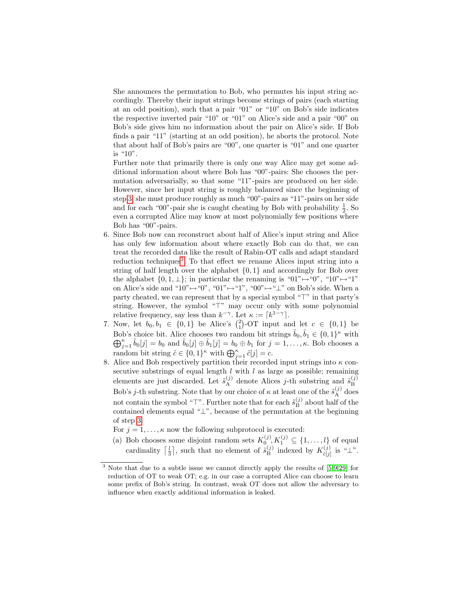She announces the permutation to Bob, who permutes his input string accordingly. Thereby their input strings become strings of pairs (each starting at an odd position), such that a pair "01" or "10" on Bob's side indicates the respective inverted pair "10" or "01" on Alice's side and a pair "00" on Bob's side gives him no information about the pair on Alice's side. If Bob finds a pair "11" (starting at an odd position), he aborts the protocol. Note that about half of Bob's pairs are "00", one quarter is "01" and one quarter is "10".

Further note that primarily there is only one way Alice may get some additional information about where Bob has "00"-pairs: She chooses the permutation adversarially, so that some "11"-pairs are produced on her side. However, since her input string is roughly balanced since the beginning of step [3,](#page-13-1) she must produce roughly as much "00"-pairs as "11"-pairs on her side and for each "00"-pair she is caught cheating by Bob with probability  $\frac{1}{2}$ . So even a corrupted Alice may know at most polynomially few positions where Bob has "00"-pairs.

- 6. Since Bob now can reconstruct about half of Alice's input string and Alice has only few information about where exactly Bob can do that, we can treat the recorded data like the result of Rabin-OT calls and adapt standard reduction techniques<sup>[3](#page-14-0)</sup>. To that effect we rename Alices input string into a string of half length over the alphabet  $\{0, 1\}$  and accordingly for Bob over the alphabet  $\{0, 1, \perp\}$ ; in particular the renaming is "01" $\mapsto$ "0", "10" $\mapsto$ "1" on Alice's side and "10" $\mapsto$ "0", "01" $\mapsto$ "1", "00" $\mapsto$ " $\perp$ " on Bob's side. When a party cheated, we can represent that by a special symbol " $\top$ " in that party's string. However, the symbol "<sup>T"</sup> may occur only with some polynomial relative frequency, say less than  $k^{-\gamma}$ . Let  $\kappa := [k^{1-\gamma}]$ .
- 7. Now, let  $b_0, b_1 \in \{0, 1\}$  be Alice's  $\binom{2}{1}$ -OT input and let  $c \in \{0, 1\}$  be Bob's choice bit. Alice chooses two random bit strings  $\tilde{b}_0, \tilde{b}_1 \in \{0, 1\}^{\kappa}$  with  $\bigoplus_{j=1}^{\kappa} \tilde{b}_0[j] = b_0$  and  $\tilde{b}_0[j] \oplus \tilde{b}_1[j] = b_0 \oplus b_1$  for  $j = 1, \ldots, \kappa$ . Bob chooses a random bit string  $\tilde{c} \in \{0,1\}^{\kappa}$  with  $\bigoplus_{j=1}^{\kappa} \tilde{c}[j] = c$ .
- 8. Alice and Bob respectively partition their recorded input strings into  $\kappa$  consecutive substrings of equal length  $l$  with  $l$  as large as possible; remaining elements are just discarded. Let  $\tilde{s}_{\rm A}^{(j)}$  denote Alices *j*-th substring and  $\tilde{s}_{\rm B}^{(j)}$ B Bob's *j*-th substring. Note that by our choice of  $\kappa$  at least one of the  $\tilde{s}_{A}^{(j)}$  does not contain the symbol "T". Further note that for each  $\tilde{s}_{\rm B}^{(j)}$  $B^{(j)}$  about half of the contained elements equal "⊥", because of the permutation at the beginning of step [3.](#page-13-1)
	- For  $j = 1, ..., \kappa$  now the following subprotocol is executed:
	- (a) Bob chooses some disjoint random sets  $K_0^{(j)}$ ,  $K_1^{(j)} \subseteq \{1, ..., l\}$  of equal cardinality  $\lceil \frac{l}{3} \rceil$ , such that no element of  $\tilde{s}_{\text{B}}^{(j)}$  $\mathcal{L}_{\text{B}}^{(j)}$  indexed by  $K_{\tilde{c}[j]}^{(j)}$  $\stackrel{(J)}{\tilde{c}[j]}$  is " $\perp$ ".

<span id="page-14-0"></span><sup>&</sup>lt;sup>3</sup> Note that due to a subtle issue we cannot directly apply the results of [\[5,](#page-16-8)[9,](#page-16-9)[29\]](#page-17-4) for reduction of OT to weak OT; e.g. in our case a corrupted Alice can choose to learn some prefix of Bob's string. In contrast, weak OT does not allow the adversary to influence when exactly additional information is leaked.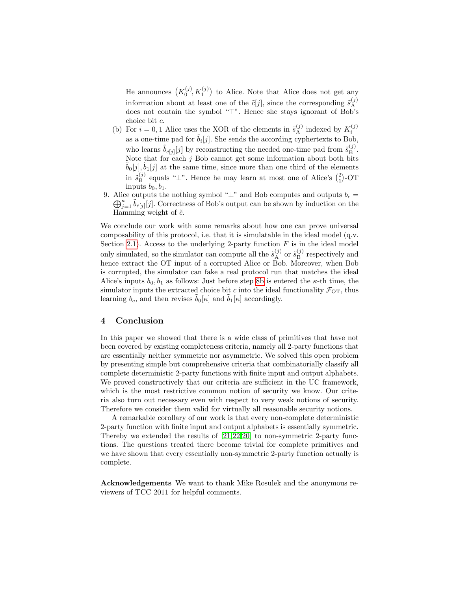He announces  $(K_0^{(j)}, K_1^{(j)})$  to Alice. Note that Alice does not get any information about at least one of the  $\tilde{c}[j]$ , since the corresponding  $\tilde{s}_{\rm A}^{(j)}$ A does not contain the symbol " $\top$ ". Hence she stays ignorant of Bob's choice bit c.

- <span id="page-15-0"></span>(b) For  $i = 0, 1$  Alice uses the XOR of the elements in  $\tilde{s}_{\rm A}^{(j)}$  indexed by  $K_i^{(j)}$ as a one-time pad for  $\tilde{b}_i[j]$ . She sends the according cyphertexts to Bob, who learns  $\tilde{b}_{\tilde{c}[j]}[j]$  by reconstructing the needed one-time pad from  $\tilde{s}_{\text{B}}^{(j)}$  $\mathbf{B}^{(J)}$ . Note that for each  $j$  Bob cannot get some information about both bits  $\tilde{b}_0[j], \tilde{b}_1[j]$  at the same time, since more than one third of the elements in  $\tilde{s}_{\rm B}^{(j)}$  $\mathbf{E}_{\text{B}}^{(j)}$  equals " $\perp$ ". Hence he may learn at most one of Alice's  $\binom{2}{1}$ -OT inputs  $b_0, b_1$ .
- 9. Alice outputs the nothing symbol " $\perp$ " and Bob computes and outputs  $b_c =$  $\bigoplus_{j=1}^{\kappa} \tilde{b}_{\tilde{c}[j]}[j]$ . Correctness of Bob's output can be shown by induction on the Hamming weight of  $\tilde{c}$ .

We conclude our work with some remarks about how one can prove universal composability of this protocol, i.e. that it is simulatable in the ideal model (q.v. Section [2.1\)](#page-2-0). Access to the underlying 2-party function  $F$  is in the ideal model only simulated, so the simulator can compute all the  $\tilde{s}_{\rm A}^{(j)}$  or  $\tilde{s}_{\rm B}^{(j)}$  $B^{(j)}$  respectively and hence extract the OT input of a corrupted Alice or Bob. Moreover, when Bob is corrupted, the simulator can fake a real protocol run that matches the ideal Alice's inputs  $b_0, b_1$  as follows: Just before step [8b](#page-15-0) is entered the  $\kappa$ -th time, the simulator inputs the extracted choice bit c into the ideal functionality  $\mathcal{F}_{\text{OT}}$ , thus learning  $b_c$ , and then revises  $b_0[k]$  and  $b_1[k]$  accordingly.

## 4 Conclusion

In this paper we showed that there is a wide class of primitives that have not been covered by existing completeness criteria, namely all 2-party functions that are essentially neither symmetric nor asymmetric. We solved this open problem by presenting simple but comprehensive criteria that combinatorially classify all complete deterministic 2-party functions with finite input and output alphabets. We proved constructively that our criteria are sufficient in the UC framework, which is the most restrictive common notion of security we know. Our criteria also turn out necessary even with respect to very weak notions of security. Therefore we consider them valid for virtually all reasonable security notions.

A remarkable corollary of our work is that every non-complete deterministic 2-party function with finite input and output alphabets is essentially symmetric. Thereby we extended the results of [\[21,](#page-17-11)[22,](#page-17-10)[20\]](#page-17-12) to non-symmetric 2-party functions. The questions treated there become trivial for complete primitives and we have shown that every essentially non-symmetric 2-party function actually is complete.

Acknowledgements We want to thank Mike Rosulek and the anonymous reviewers of TCC 2011 for helpful comments.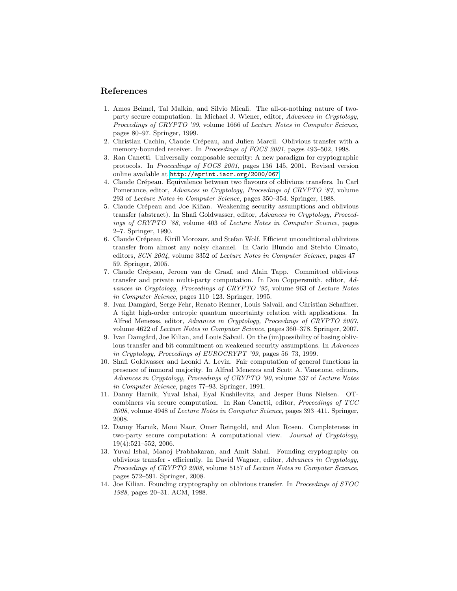## References

- <span id="page-16-11"></span>1. Amos Beimel, Tal Malkin, and Silvio Micali. The all-or-nothing nature of twoparty secure computation. In Michael J. Wiener, editor, Advances in Cryptology, Proceedings of CRYPTO '99, volume 1666 of Lecture Notes in Computer Science, pages 80–97. Springer, 1999.
- <span id="page-16-5"></span>2. Christian Cachin, Claude Crépeau, and Julien Marcil. Oblivious transfer with a memory-bounded receiver. In *Proceedings of FOCS 2001*, pages 493–502, 1998.
- <span id="page-16-13"></span>3. Ran Canetti. Universally composable security: A new paradigm for cryptographic protocols. In Proceedings of FOCS 2001, pages 136–145, 2001. Revised version online available at <http://eprint.iacr.org/2000/067>.
- <span id="page-16-0"></span>4. Claude Crépeau. Equivalence between two flavours of oblivious transfers. In Carl Pomerance, editor, Advances in Cryptology, Proceedings of CRYPTO '87, volume 293 of Lecture Notes in Computer Science, pages 350–354. Springer, 1988.
- <span id="page-16-8"></span>5. Claude Crépeau and Joe Kilian. Weakening security assumptions and oblivious transfer (abstract). In Shafi Goldwasser, editor, Advances in Cryptology, Proceedings of CRYPTO '88, volume 403 of Lecture Notes in Computer Science, pages 2–7. Springer, 1990.
- <span id="page-16-7"></span>6. Claude Crépeau, Kirill Morozov, and Stefan Wolf. Efficient unconditional oblivious transfer from almost any noisy channel. In Carlo Blundo and Stelvio Cimato, editors, SCN 2004, volume 3352 of Lecture Notes in Computer Science, pages 47– 59. Springer, 2005.
- <span id="page-16-3"></span>7. Claude Crépeau, Jeroen van de Graaf, and Alain Tapp. Committed oblivious transfer and private multi-party computation. In Don Coppersmith, editor, Advances in Cryptology, Proceedings of CRYPTO '95, volume 963 of Lecture Notes in Computer Science, pages 110–123. Springer, 1995.
- <span id="page-16-6"></span>8. Ivan Damgård, Serge Fehr, Renato Renner, Louis Salvail, and Christian Schaffner. A tight high-order entropic quantum uncertainty relation with applications. In Alfred Menezes, editor, Advances in Cryptology, Proceedings of CRYPTO 2007, volume 4622 of Lecture Notes in Computer Science, pages 360–378. Springer, 2007.
- <span id="page-16-9"></span>9. Ivan Damgård, Joe Kilian, and Louis Salvail. On the (im)possibility of basing oblivious transfer and bit commitment on weakened security assumptions. In Advances in Cryptology, Proceedings of EUROCRYPT '99, pages 56–73, 1999.
- <span id="page-16-2"></span>10. Shafi Goldwasser and Leonid A. Levin. Fair computation of general functions in presence of immoral majority. In Alfred Menezes and Scott A. Vanstone, editors, Advances in Cryptology, Proceedings of CRYPTO '90, volume 537 of Lecture Notes in Computer Science, pages 77–93. Springer, 1991.
- <span id="page-16-10"></span>11. Danny Harnik, Yuval Ishai, Eyal Kushilevitz, and Jesper Buus Nielsen. OTcombiners via secure computation. In Ran Canetti, editor, Proceedings of TCC 2008, volume 4948 of Lecture Notes in Computer Science, pages 393–411. Springer, 2008.
- <span id="page-16-12"></span>12. Danny Harnik, Moni Naor, Omer Reingold, and Alon Rosen. Completeness in two-party secure computation: A computational view. Journal of Cryptology, 19(4):521–552, 2006.
- <span id="page-16-4"></span>13. Yuval Ishai, Manoj Prabhakaran, and Amit Sahai. Founding cryptography on oblivious transfer - efficiently. In David Wagner, editor, Advances in Cryptology, Proceedings of CRYPTO 2008, volume 5157 of Lecture Notes in Computer Science, pages 572–591. Springer, 2008.
- <span id="page-16-1"></span>14. Joe Kilian. Founding cryptography on oblivious transfer. In Proceedings of STOC 1988, pages 20–31. ACM, 1988.